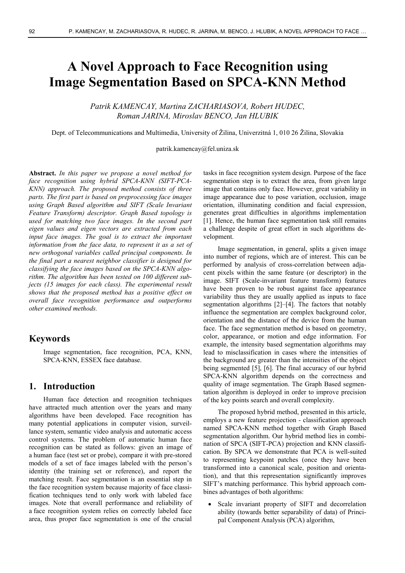# **A Novel Approach to Face Recognition using Image Segmentation Based on SPCA-KNN Method**

*Patrik KAMENCAY, Martina ZACHARIASOVA, Robert HUDEC, Roman JARINA, Miroslav BENCO, Jan HLUBIK* 

Dept. of Telecommunications and Multimedia, University of Žilina, Univerzitná 1, 010 26 Žilina, Slovakia

patrik.kamencay@fel.uniza.sk

**Abstract.** *In this paper we propose a novel method for face recognition using hybrid SPCA-KNN (SIFT-PCA-KNN) approach. The proposed method consists of three parts. The first part is based on preprocessing face images using Graph Based algorithm and SIFT (Scale Invariant Feature Transform) descriptor. Graph Based topology is used for matching two face images. In the second part eigen values and eigen vectors are extracted from each input face images. The goal is to extract the important information from the face data, to represent it as a set of new orthogonal variables called principal components. In the final part a nearest neighbor classifier is designed for classifying the face images based on the SPCA-KNN algorithm. The algorithm has been tested on 100 different subjects (15 images for each class). The experimental result shows that the proposed method has a positive effect on overall face recognition performance and outperforms other examined methods.* 

# **Keywords**

Image segmentation, face recognition, PCA, KNN, SPCA-KNN, ESSEX face database.

# **1. Introduction**

Human face detection and recognition techniques have attracted much attention over the years and many algorithms have been developed. Face recognition has many potential applications in computer vision, surveillance system, semantic video analysis and automatic access control systems. The problem of automatic human face recognition can be stated as follows: given an image of a human face (test set or probe), compare it with pre-stored models of a set of face images labeled with the person's identity (the training set or reference), and report the matching result. Face segmentation is an essential step in the face recognition system because majority of face classification techniques tend to only work with labeled face images. Note that overall performance and reliability of a face recognition system relies on correctly labeled face area, thus proper face segmentation is one of the crucial

tasks in face recognition system design. Purpose of the face segmentation step is to extract the area, from given large image that contains only face. However, great variability in image appearance due to pose variation, occlusion, image orientation, illuminating condition and facial expression, generates great difficulties in algorithms implementation [1]. Hence, the human face segmentation task still remains a challenge despite of great effort in such algorithms development.

Image segmentation, in general, splits a given image into number of regions, which are of interest. This can be performed by analysis of cross-correlation between adjacent pixels within the same feature (or descriptor) in the image. SIFT (Scale-invariant feature transform) features have been proven to be robust against face appearance variability thus they are usually applied as inputs to face segmentation algorithms [2]–[4]. The factors that notably influence the segmentation are complex background color, orientation and the distance of the device from the human face. The face segmentation method is based on geometry, color, appearance, or motion and edge information. For example, the intensity based segmentation algorithms may lead to misclassification in cases where the intensities of the background are greater than the intensities of the object being segmented [5], [6]. The final accuracy of our hybrid SPCA-KNN algorithm depends on the correctness and quality of image segmentation. The Graph Based segmentation algorithm is deployed in order to improve precision of the key points search and overall complexity.

The proposed hybrid method, presented in this article, employs a new feature projection - classification approach named SPCA-KNN method together with Graph Based segmentation algorithm. Our hybrid method lies in combination of SPCA (SIFT-PCA) projection and KNN classification. By SPCA we demonstrate that PCA is well-suited to representing keypoint patches (once they have been transformed into a canonical scale, position and orientation), and that this representation significantly improves SIFT's matching performance. This hybrid approach combines advantages of both algorithms:

 Scale invariant property of SIFT and decorrelation ability (towards better separability of data) of Principal Component Analysis (PCA) algorithm,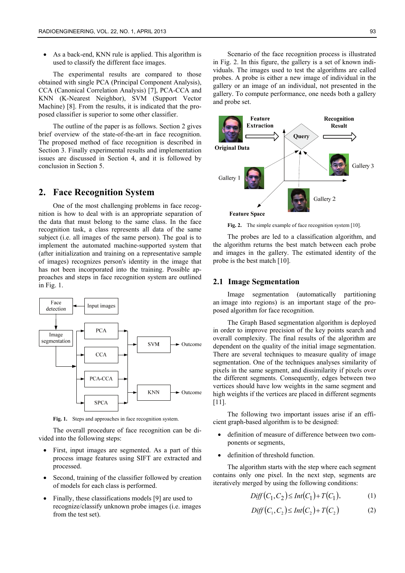As a back-end, KNN rule is applied. This algorithm is used to classify the different face images.

The experimental results are compared to those obtained with single PCA (Principal Component Analysis), CCA (Canonical Correlation Analysis) [7], PCA-CCA and KNN (K-Nearest Neighbor), SVM (Support Vector Machine) [8]. From the results, it is indicated that the proposed classifier is superior to some other classifier.

The outline of the paper is as follows. Section 2 gives brief overview of the state-of-the-art in face recognition. The proposed method of face recognition is described in Section 3. Finally experimental results and implementation issues are discussed in Section 4, and it is followed by conclusion in Section 5.

# **2. Face Recognition System**

One of the most challenging problems in face recognition is how to deal with is an appropriate separation of the data that must belong to the same class. In the face recognition task, a class represents all data of the same subject (i.e. all images of the same person). The goal is to implement the automated machine-supported system that (after initialization and training on a representative sample of images) recognizes person's identity in the image that has not been incorporated into the training. Possible approaches and steps in face recognition system are outlined in Fig. 1.



**Fig. 1.** Steps and approaches in face recognition system.

The overall procedure of face recognition can be divided into the following steps:

- First, input images are segmented. As a part of this process image features using SIFT are extracted and processed.
- Second, training of the classifier followed by creation of models for each class is performed.
- Finally, these classifications models [9] are used to recognize/classify unknown probe images (i.e. images from the test set).

Scenario of the face recognition process is illustrated in Fig. 2. In this figure, the gallery is a set of known individuals. The images used to test the algorithms are called probes. A probe is either a new image of individual in the gallery or an image of an individual, not presented in the gallery. To compute performance, one needs both a gallery and probe set.



Fig. 2. The simple example of face recognition system [10].

The probes are led to a classification algorithm, and the algorithm returns the best match between each probe and images in the gallery. The estimated identity of the probe is the best match [10].

### **2.1 Image Segmentation**

Image segmentation (automatically partitioning an image into regions) is an important stage of the proposed algorithm for face recognition.

The Graph Based segmentation algorithm is deployed in order to improve precision of the key points search and overall complexity. The final results of the algorithm are dependent on the quality of the initial image segmentation. There are several techniques to measure quality of image segmentation. One of the techniques analyses similarity of pixels in the same segment, and dissimilarity if pixels over the different segments. Consequently, edges between two vertices should have low weights in the same segment and high weights if the vertices are placed in different segments [11].

The following two important issues arise if an efficient graph-based algorithm is to be designed:

- definition of measure of difference between two components or segments,
- definition of threshold function.

The algorithm starts with the step where each segment contains only one pixel. In the next step, segments are iteratively merged by using the following conditions:

$$
Diff(C_1, C_2) \le Int(C_1) + T(C_1), \tag{1}
$$

$$
Diff(C_1, C_2) \le Int(C_2) + T(C_2)
$$
 (2)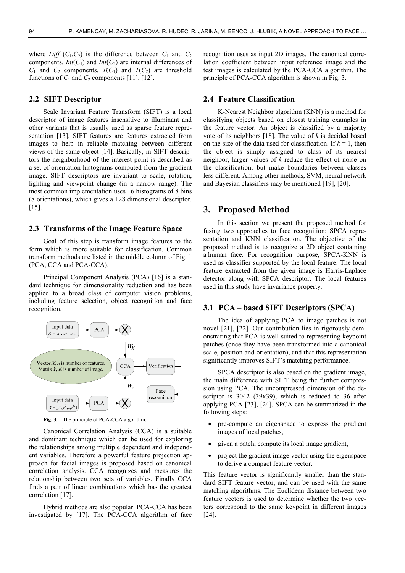where *Diff*  $(C_1, C_2)$  is the difference between  $C_1$  and  $C_2$ components,  $Int(C_1)$  and  $Int(C_2)$  are internal differences of  $C_1$  and  $C_2$  components,  $T(C_1)$  and  $T(C_2)$  are threshold functions of  $C_1$  and  $C_2$  components [11], [12].

#### **2.2 SIFT Descriptor**

Scale Invariant Feature Transform (SIFT) is a local descriptor of image features insensitive to illuminant and other variants that is usually used as sparse feature representation [13]. SIFT features are features extracted from images to help in reliable matching between different views of the same object [14]. Basically, in SIFT descriptors the neighborhood of the interest point is described as a set of orientation histograms computed from the gradient image. SIFT descriptors are invariant to scale, rotation, lighting and viewpoint change (in a narrow range). The most common implementation uses 16 histograms of 8 bins (8 orientations), which gives a 128 dimensional descriptor. [15].

#### **2.3 Transforms of the Image Feature Space**

Goal of this step is transform image features to the form which is more suitable for classification. Common transform methods are listed in the middle column of Fig. 1 (PCA, CCA and PCA-CCA).

Principal Component Analysis (PCA) [16] is a standard technique for dimensionality reduction and has been applied to a broad class of computer vision problems, including feature selection, object recognition and face recognition.



**Fig. 3.** The principle of PCA-CCA algorithm.

Canonical Correlation Analysis (CCA) is a suitable and dominant technique which can be used for exploring the relationships among multiple dependent and independent variables. Therefore a powerful feature projection approach for facial images is proposed based on canonical correlation analysis. CCA recognizes and measures the relationship between two sets of variables. Finally CCA finds a pair of linear combinations which has the greatest correlation [17].

Hybrid methods are also popular. PCA-CCA has been investigated by [17]. The PCA-CCA algorithm of face recognition uses as input 2D images. The canonical correlation coefficient between input reference image and the test images is calculated by the PCA-CCA algorithm. The principle of PCA-CCA algorithm is shown in Fig. 3.

## **2.4 Feature Classification**

K-Nearest Neighbor algorithm (KNN) is a method for classifying objects based on closest training examples in the feature vector. An object is classified by a majority vote of its neighbors [18]. The value of *k* is decided based on the size of the data used for classification. If  $k = 1$ , then the object is simply assigned to class of its nearest neighbor, larger values of *k* reduce the effect of noise on the classification, but make boundaries between classes less different. Among other methods, SVM, neural network and Bayesian classifiers may be mentioned [19], [20].

## **3. Proposed Method**

In this section we present the proposed method for fusing two approaches to face recognition: SPCA representation and KNN classification. The objective of the proposed method is to recognize a 2D object containing a human face. For recognition purpose, SPCA-KNN is used as classifier supported by the local feature. The local feature extracted from the given image is Harris-Laplace detector along with SPCA descriptor. The local features used in this study have invariance property.

## **3.1 PCA – based SIFT Descriptors (SPCA)**

The idea of applying PCA to image patches is not novel [21], [22]. Our contribution lies in rigorously demonstrating that PCA is well-suited to representing keypoint patches (once they have been transformed into a canonical scale, position and orientation), and that this representation significantly improves SIFT's matching performance.

SPCA descriptor is also based on the gradient image, the main difference with SIFT being the further compression using PCA. The uncompressed dimension of the descriptor is 3042 (39x39), which is reduced to 36 after applying PCA [23], [24]. SPCA can be summarized in the following steps:

- pre-compute an eigenspace to express the gradient images of local patches,
- given a patch, compute its local image gradient,
- project the gradient image vector using the eigenspace to derive a compact feature vector.

This feature vector is significantly smaller than the standard SIFT feature vector, and can be used with the same matching algorithms. The Euclidean distance between two feature vectors is used to determine whether the two vectors correspond to the same keypoint in different images [24].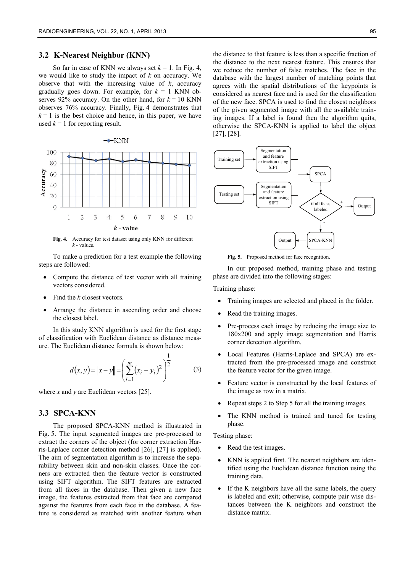#### **3.2 K-Nearest Neighbor (KNN)**

So far in case of KNN we always set  $k = 1$ . In Fig. 4, we would like to study the impact of *k* on accuracy. We observe that with the increasing value of *k*, accuracy gradually goes down. For example, for  $k = 1$  KNN observes  $92\%$  accuracy. On the other hand, for  $k = 10$  KNN observes 76% accuracy. Finally, Fig. 4 demonstrates that  $k = 1$  is the best choice and hence, in this paper, we have used  $k = 1$  for reporting result.



**Fig. 4.** Accuracy for test dataset using only KNN for different *k* - values.

To make a prediction for a test example the following steps are followed:

- Compute the distance of test vector with all training vectors considered.
- Find the *k* closest vectors.
- Arrange the distance in ascending order and choose the closest label.

In this study KNN algorithm is used for the first stage of classification with Euclidean distance as distance measure. The Euclidean distance formula is shown below:

$$
d(x, y) = \|x - y\| = \left(\sum_{i=1}^{m} (x_i - y_i)^2\right)^{\frac{1}{2}}
$$
 (3)

where *x* and *y* are Euclidean vectors [25].

# **3.3 SPCA-KNN**

The proposed SPCA-KNN method is illustrated in Fig. 5. The input segmented images are pre-processed to extract the corners of the object (for corner extraction Harris-Laplace corner detection method [26], [27] is applied). The aim of segmentation algorithm is to increase the separability between skin and non-skin classes. Once the corners are extracted then the feature vector is constructed using SIFT algorithm. The SIFT features are extracted from all faces in the database. Then given a new face image, the features extracted from that face are compared against the features from each face in the database. A feature is considered as matched with another feature when

the distance to that feature is less than a specific fraction of the distance to the next nearest feature. This ensures that we reduce the number of false matches. The face in the database with the largest number of matching points that agrees with the spatial distributions of the keypoints is considered as nearest face and is used for the classification of the new face. SPCA is used to find the closest neighbors of the given segmented image with all the available training images. If a label is found then the algorithm quits, otherwise the SPCA-KNN is applied to label the object [27], [28].



**Fig. 5.** Proposed method for face recognition.

In our proposed method, training phase and testing phase are divided into the following stages:

Training phase:

- Training images are selected and placed in the folder.
- Read the training images.
- Pre-process each image by reducing the image size to 180x200 and apply image segmentation and Harris corner detection algorithm.
- Local Features (Harris-Laplace and SPCA) are extracted from the pre-processed image and construct the feature vector for the given image.
- Feature vector is constructed by the local features of the image as row in a matrix.
- Repeat steps 2 to Step 5 for all the training images.
- The KNN method is trained and tuned for testing phase.

Testing phase:

- Read the test images.
- KNN is applied first. The nearest neighbors are identified using the Euclidean distance function using the training data.
- If the K neighbors have all the same labels, the query is labeled and exit; otherwise, compute pair wise distances between the K neighbors and construct the distance matrix.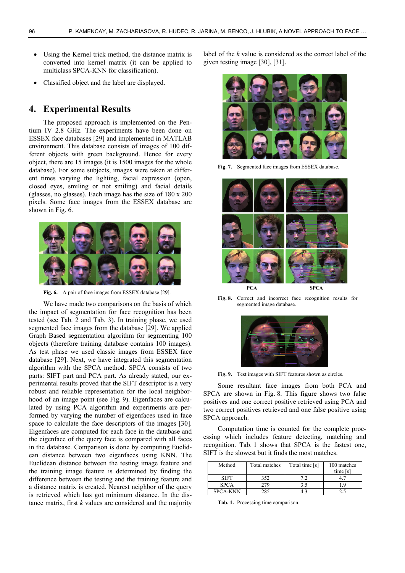- Using the Kernel trick method, the distance matrix is converted into kernel matrix (it can be applied to multiclass SPCA-KNN for classification).
- Classified object and the label are displayed.

# **4. Experimental Results**

The proposed approach is implemented on the Pentium IV 2.8 GHz. The experiments have been done on ESSEX face databases [29] and implemented in MATLAB environment. This database consists of images of 100 different objects with green background. Hence for every object, there are 15 images (it is 1500 images for the whole database). For some subjects, images were taken at different times varying the lighting, facial expression (open, closed eyes, smiling or not smiling) and facial details (glasses, no glasses). Each image has the size of 180 x 200 pixels. Some face images from the ESSEX database are shown in Fig. 6.



**Fig. 6.** A pair of face images from ESSEX database [29].

We have made two comparisons on the basis of which the impact of segmentation for face recognition has been tested (see Tab. 2 and Tab. 3). In training phase, we used segmented face images from the database [29]. We applied Graph Based segmentation algorithm for segmenting 100 objects (therefore training database contains 100 images). As test phase we used classic images from ESSEX face database [29]. Next, we have integrated this segmentation algorithm with the SPCA method. SPCA consists of two parts: SIFT part and PCA part. As already stated, our experimental results proved that the SIFT descriptor is a very robust and reliable representation for the local neighborhood of an image point (see Fig. 9). Eigenfaces are calculated by using PCA algorithm and experiments are performed by varying the number of eigenfaces used in face space to calculate the face descriptors of the images [30]. Eigenfaces are computed for each face in the database and the eigenface of the query face is compared with all faces in the database. Comparison is done by computing Euclidean distance between two eigenfaces using KNN. The Euclidean distance between the testing image feature and the training image feature is determined by finding the difference between the testing and the training feature and a distance matrix is created. Nearest neighbor of the query is retrieved which has got minimum distance. In the distance matrix, first *k* values are considered and the majority

label of the *k* value is considered as the correct label of the given testing image [30], [31].



Fig. 7. Segmented face images from ESSEX database.



**Fig. 8.** Correct and incorrect face recognition results for segmented image database.



**Fig. 9.** Test images with SIFT features shown as circles.

Some resultant face images from both PCA and SPCA are shown in Fig. 8. This figure shows two false positives and one correct positive retrieved using PCA and two correct positives retrieved and one false positive using SPCA approach.

Computation time is counted for the complete processing which includes feature detecting, matching and recognition. Tab. 1 shows that SPCA is the fastest one, SIFT is the slowest but it finds the most matches.

| Method          | Total matches | Total time [s] | 100 matches |
|-----------------|---------------|----------------|-------------|
|                 |               |                | time [s]    |
| <b>SIFT</b>     | 352           |                |             |
| <b>SPCA</b>     | 279.          |                | 19          |
| <b>SPCA-KNN</b> | 285           |                |             |

**Tab. 1.** Processing time comparison.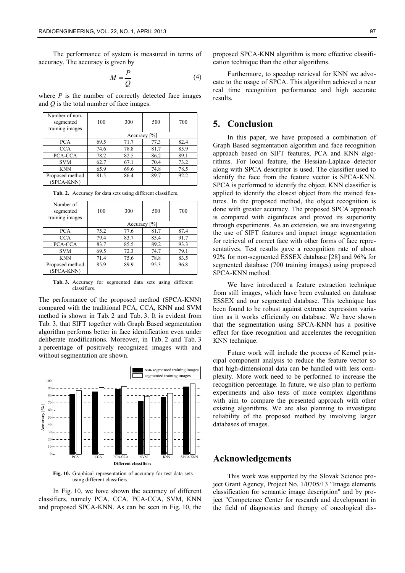The performance of system is measured in terms of accuracy. The accuracy is given by

$$
M = \frac{P}{Q} \tag{4}
$$

where  $P$  is the number of correctly detected face images and *Q* is the total number of face images.

| Number of non-<br>segmented<br>training images | 100             | 300  | 500  | 700  |
|------------------------------------------------|-----------------|------|------|------|
|                                                | Accuracy $[\%]$ |      |      |      |
| <b>PCA</b>                                     | 69.5            | 71.7 | 77.3 | 82.4 |
| <b>CCA</b>                                     | 74.6            | 78.8 | 81.7 | 85.9 |
| PCA-CCA                                        | 78.2            | 82.5 | 86.2 | 89.1 |
| <b>SVM</b>                                     | 62.7            | 67.1 | 70.4 | 73.2 |
| <b>KNN</b>                                     | 65.9            | 69.6 | 74.8 | 78.5 |
| Proposed method<br>(SPCA-KNN)                  | 81.5            | 86.4 | 89.7 | 92.2 |

| Number of<br>segmented<br>training images | 100             | 300  | 500  | 700  |
|-------------------------------------------|-----------------|------|------|------|
|                                           | Accuracy $[\%]$ |      |      |      |
| <b>PCA</b>                                | 75.2            | 77.6 | 81.7 | 87.4 |
| <b>CCA</b>                                | 79.4            | 83.7 | 85.4 | 91.7 |
| PCA-CCA                                   | 83.7            | 85.5 | 89.2 | 93.3 |
| <b>SVM</b>                                | 69.5            | 72.3 | 74.7 | 79.1 |
| <b>KNN</b>                                | 71.4            | 75.6 | 78.8 | 83.5 |
| Proposed method<br>(SPCA-KNN)             | 85.9            | 89.9 | 95.3 | 96.8 |

**Tab. 2.** Accuracy for data sets using different classifiers.

**Tab. 3.** Accuracy for segmented data sets using different classifiers.

The performance of the proposed method (SPCA-KNN) compared with the traditional PCA, CCA, KNN and SVM method is shown in Tab. 2 and Tab. 3. It is evident from Tab. 3, that SIFT together with Graph Based segmentation algorithm performs better in face identification even under deliberate modifications. Moreover, in Tab. 2 and Tab. 3 a percentage of positively recognized images with and without segmentation are shown.



**Fig. 10.** Graphical representation of accuracy for test data sets using different classifiers.

In Fig. 10, we have shown the accuracy of different classifiers, namely PCA, CCA, PCA-CCA, SVM, KNN and proposed SPCA-KNN. As can be seen in Fig. 10, the proposed SPCA-KNN algorithm is more effective classification technique than the other algorithms.

Furthermore, to speedup retrieval for KNN we advocate to the usage of SPCA. This algorithm achieved a near real time recognition performance and high accurate results.

# **5. Conclusion**

In this paper, we have proposed a combination of Graph Based segmentation algorithm and face recognition approach based on SIFT features, PCA and KNN algorithms. For local feature, the Hessian-Laplace detector along with SPCA descriptor is used. The classifier used to identify the face from the feature vector is SPCA-KNN. SPCA is performed to identify the object. KNN classifier is applied to identify the closest object from the trained features. In the proposed method, the object recognition is done with greater accuracy. The proposed SPCA approach is compared with eigenfaces and proved its superiority through experiments. As an extension, we are investigating the use of SIFT features and impact image segmentation for retrieval of correct face with other forms of face representatives. Test results gave a recognition rate of about 92% for non-segmented ESSEX database [28] and 96% for segmented database (700 training images) using proposed SPCA-KNN method.

We have introduced a feature extraction technique from still images, which have been evaluated on database ESSEX and our segmented database. This technique has been found to be robust against extreme expression variation as it works efficiently on database. We have shown that the segmentation using SPCA-KNN has a positive effect for face recognition and accelerates the recognition KNN technique.

Future work will include the process of Kernel principal component analysis to reduce the feature vector so that high-dimensional data can be handled with less complexity. More work need to be performed to increase the recognition percentage. In future, we also plan to perform experiments and also tests of more complex algorithms with aim to compare the presented approach with other existing algorithms. We are also planning to investigate reliability of the proposed method by involving larger databases of images.

# **Acknowledgements**

This work was supported by the Slovak Science project Grant Agency, Project No. 1/0705/13 "Image elements classification for semantic image description" and by project "Competence Center for research and development in the field of diagnostics and therapy of oncological dis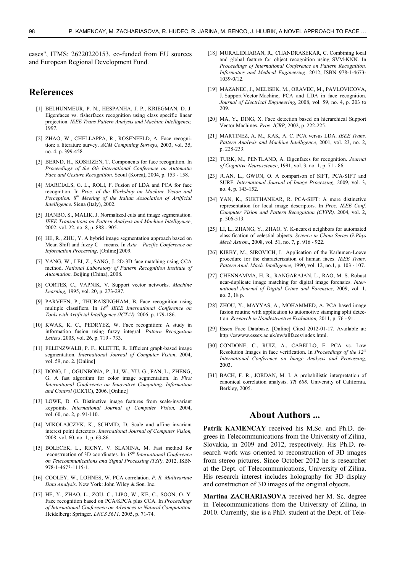eases", ITMS: 26220220153, co-funded from EU sources and European Regional Development Fund.

# **References**

- [1] BELHUNMEUR, P. N., HESPANHA, J. P., KRIEGMAN, D. J. Eigenfaces vs. fisherfaces recognition using class specific linear projection. *IEEE Trans Pattern Analysis and Machine Intelligence,* 1997.
- [2] ZHAO, W., CHELLAPPA, R., ROSENFELD, A. Face recognition: a literature survey. *ACM Computing Surveys,* 2003, vol. 35, no. 4, p. 399-458.
- [3] BERND, H., KOSHIZEN, T. Components for face recognition. In *Proceedings of the 6th International Conference on Automatic Face and Gesture Recognition*. Seoul (Korea), 2004, p. 153 - 158.
- [4] MARCIALS, G. L., ROLI, F. Fusion of LDA and PCA for face recognition. In *Proc. of the Workshop on Machine Vision and Perception. 8th Meeting of the Italian Association of Artificial Intelligence*. Siena (Italy), 2002.
- [5] JIANBO, S., MALIK, J. Normalized cuts and image segmentation. *IEEE Transactions on Pattern Analysis and Machine Intelligence*, 2002, vol. 22, no. 8, p. 888 - 905.
- [6] HE, R., ZHU, Y. A hybrid image segmentation approach based on Mean Shift and fuzzy C – means. In *Asia – Pacific Conference on Information Processing*. [Online] 2009.
- [7] YANG, W., LEI, Z., SANG, J. 2D-3D face matching using CCA method. *National Laboratory of Pattern Recognition Institute of Automation.* Beijing (China), 2008.
- [8] CORTES, C., VAPNIK, V. Support vector networks. *Machine Learning,* 1995, vol. 20, p. 273-297.
- [9] PARVEEN, P., THURAISINGHAM, B. Face recognition using multiple classifiers. In *18th IEEE International Conference on Tools with Artificial Intelligence (ICTAI).* 2006, p. 179-186.
- [10] KWAK, K. C., PEDRYEZ, W. Face recognition: A study in information fusion using fuzzy integral. *Pattern Recognition Letters*, 2005, vol. 26, p. 719 - 733.
- [11] FELENZWALB, P. F., KLETTE, R. Efficient graph-based image segmentation. *International Journal of Computer Vision*, 2004, vol. 59, no. 2. [Online]
- [12] DONG, L., OGUNBONA, P., LI, W., YU, G., FAN, L., ZHENG, G. A fast algorithm for color image segmentation. In *First International Conference on Innovative Computing*. *Information and Control* (ICICIC), 2006. [Online]
- [13] LOWE, D. G. Distinctive image features from scale-invariant keypoints. *International Journal of Computer Vision,* 2004, vol. 60, no. 2, p. 91-110.
- [14] MIKOLAJCZYK, K., SCHMID, D. Scale and affine invariant interest point detectors. *International Journal of Computer Vision,* 2008, vol. 60, no. 1, p. 63-86.
- [15] BOLECEK, L., RICNY, V. SLANINA, M. Fast method for reconstruction of 3D coordinates. In *35th International Conference on Telecommunications and Signal Processing (TSP),* 2012, ISBN 978-1-4673-1115-1.
- [16] COOLEY, W., LOHNES, W. PCA correlation. *P. R. Multivariate Data Analysis.* New York: John Wiley & Son*.* Inc.
- [17] HE, Y., ZHAO, L., ZOU, C., LIPO, W., KE, C., SOON, O. Y. Face recognition based on PCA/KPCA plus CCA. In *Proceedings of International Conference on Advances in Natural Computation.*  Heidelberg: Springer*. LNCS 3611.* 2005, p. 71-74.
- [18] MURALIDHARAN, R., CHANDRASEKAR, C. Combining local and global feature for object recognition using SVM-KNN. In *Proceedings of International Conference on Pattern Recognition. Informatics and Medical Engineering*. 2012, ISBN 978-1-4673- 1039-0/12.
- [19] MAZANEC, J., MELISEK, M., ORAVEC, M., PAVLOVICOVA, J. Support Vector Machine, PCA and LDA in face recognition. *Journal of Electrical Engineering*, 2008, vol. 59, no. 4, p. 203 to 209.
- [20] MA, Y., DING, X. Face detection based on hierarchical Support Vector Machines. *Proc. ICRP,* 2002, p. 222-225.
- [21] MARTINEZ, A. M., KAK, A. C. PCA versus LDA. *IEEE Trans. Pattern Analysis and Machine Intelligence,* 2001, vol. 23, no. 2, p. 228-233.
- [22] TURK, M., PENTLAND, A. Eigenfaces for recognition. *Journal of Cognitive Neuroscience*, 1991, vol. 3, no. 1, p. 71 - 86.
- [23] JUAN, L., GWUN, O. A comparison of SIFT, PCA-SIFT and SURF. *International Journal of Image Processing,* 2009, vol. 3, no. 4, p. 143-152.
- [24] YAN, K., SUKTHANKAR, R. PCA-SIFT: A more distinctive representation for local image descriptors. In *Proc. IEEE Conf. Computer Vision and Pattern Recognition (CVPR).* 2004, vol. 2, p. 506-513.
- [25] LI, L., ZHANG, Y., ZHAO, Y. K-nearest neighbors for automated classification of celestial objects. *Science in China Series G-Phys Mech Astron*., 2008, vol. 51, no. 7, p. 916 - 922.
- [26] KIRBY, M., SIROVICH, L. Application of the Karhunen-Loeve procedure for the characterization of human faces. *IEEE Trans. Pattern Anal. Mach. Intelligence,* 1990, vol. 12, no.1, p. 103 - 107.
- [27] CHENNAMMA, H. R., RANGARAJAN, L., RAO, M. S. Robust near-duplicate image matching for digital image forensics. *International Journal of Digital Crime and Forensics,* 2009, vol. 1, no. 3, 18 p.
- [28] ZHOU, Y., MAYYAS, A., MOHAMMED, A. PCA based image fusion routine with application to automotive stamping split detection. *Research in Nondestructive Evaluation,* 2011, p. 76 - 91.
- [29] Essex Face Database. [Online] Cited 2012-01-17. Available at: http://cswww.essex.ac.uk/mv/allfaces/index.html.
- [30] CONDONE, C., RUIZ, A., CABELLO, E. PCA vs. Low Resolution Images in face verification. In *Proceedings of the 12th International Conference on Image Analysis and Processing,* 2003.
- [31] BACH, F. R., JORDAN, M. I. A probabilistic interpretation of canonical correlation analysis. *TR 688.* University of California, Berkley, 2005.

# **About Authors ...**

**Patrik KAMENCAY** received his M.Sc. and Ph.D. degrees in Telecommunications from the University of Zilina, Slovakia, in 2009 and 2012, respectively. His Ph.D. research work was oriented to reconstruction of 3D images from stereo pictures. Since October 2012 he is researcher at the Dept. of Telecommunications, University of Zilina. His research interest includes holography for 3D display and construction of 3D images of the original objects.

**Martina ZACHARIASOVA** received her M. Sc. degree in Telecommunications from the University of Zilina, in 2010. Currently, she is a PhD. student at the Dept. of Tele